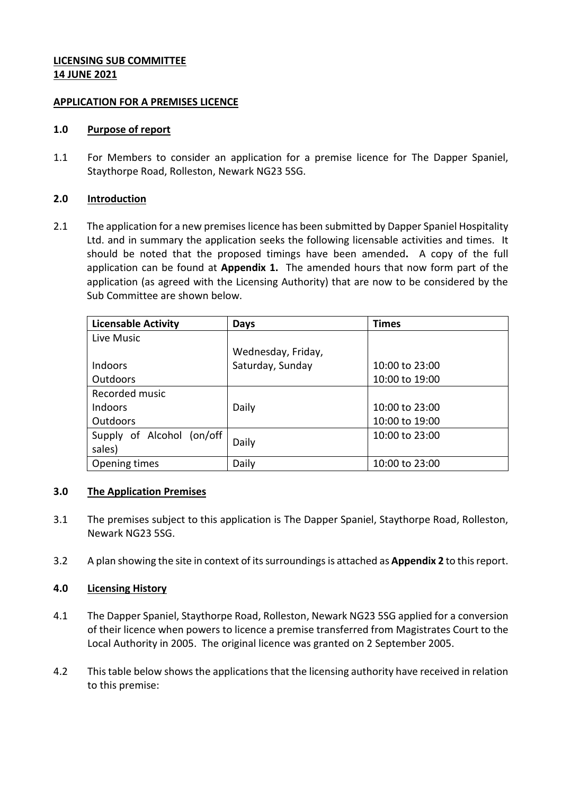# **LICENSING SUB COMMITTEE 14 JUNE 2021**

### **APPLICATION FOR A PREMISES LICENCE**

### **1.0 Purpose of report**

1.1 For Members to consider an application for a premise licence for The Dapper Spaniel, Staythorpe Road, Rolleston, Newark NG23 5SG.

#### **2.0 Introduction**

2.1 The application for a new premises licence has been submitted by Dapper Spaniel Hospitality Ltd. and in summary the application seeks the following licensable activities and times. It should be noted that the proposed timings have been amended**.** A copy of the full application can be found at **Appendix 1.** The amended hours that now form part of the application (as agreed with the Licensing Authority) that are now to be considered by the Sub Committee are shown below.

| <b>Licensable Activity</b> | Days               | <b>Times</b>   |
|----------------------------|--------------------|----------------|
| Live Music                 |                    |                |
|                            | Wednesday, Friday, |                |
| <b>Indoors</b>             | Saturday, Sunday   | 10:00 to 23:00 |
| <b>Outdoors</b>            |                    | 10:00 to 19:00 |
| Recorded music             |                    |                |
| <b>Indoors</b>             | Daily              | 10:00 to 23:00 |
| <b>Outdoors</b>            |                    | 10:00 to 19:00 |
| Supply of Alcohol (on/off  |                    | 10:00 to 23:00 |
| sales)                     | Daily              |                |
| Opening times              | Daily              | 10:00 to 23:00 |

### **3.0 The Application Premises**

- 3.1 The premises subject to this application is The Dapper Spaniel, Staythorpe Road, Rolleston, Newark NG23 5SG.
- 3.2 A plan showing the site in context of its surroundings is attached as **Appendix 2** to this report.

### **4.0 Licensing History**

- 4.1 The Dapper Spaniel, Staythorpe Road, Rolleston, Newark NG23 5SG applied for a conversion of their licence when powers to licence a premise transferred from Magistrates Court to the Local Authority in 2005. The original licence was granted on 2 September 2005.
- 4.2 This table below shows the applications that the licensing authority have received in relation to this premise: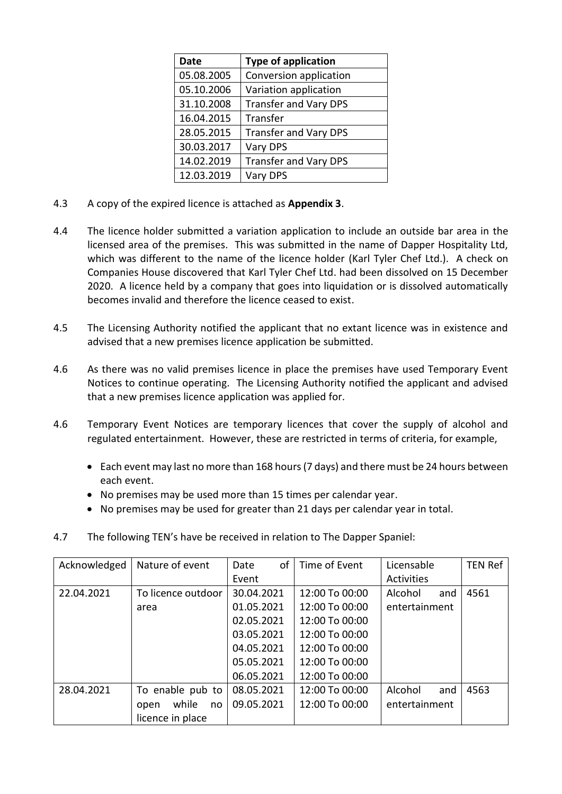| <b>Date</b> | <b>Type of application</b>   |
|-------------|------------------------------|
| 05.08.2005  | Conversion application       |
| 05.10.2006  | Variation application        |
| 31.10.2008  | <b>Transfer and Vary DPS</b> |
| 16.04.2015  | Transfer                     |
| 28.05.2015  | <b>Transfer and Vary DPS</b> |
| 30.03.2017  | Vary DPS                     |
| 14.02.2019  | <b>Transfer and Vary DPS</b> |
| 12.03.2019  | Vary DPS                     |

- 4.3 A copy of the expired licence is attached as **Appendix 3**.
- 4.4 The licence holder submitted a variation application to include an outside bar area in the licensed area of the premises. This was submitted in the name of Dapper Hospitality Ltd, which was different to the name of the licence holder (Karl Tyler Chef Ltd.). A check on Companies House discovered that Karl Tyler Chef Ltd. had been dissolved on 15 December 2020. A licence held by a company that goes into liquidation or is dissolved automatically becomes invalid and therefore the licence ceased to exist.
- 4.5 The Licensing Authority notified the applicant that no extant licence was in existence and advised that a new premises licence application be submitted.
- 4.6 As there was no valid premises licence in place the premises have used Temporary Event Notices to continue operating. The Licensing Authority notified the applicant and advised that a new premises licence application was applied for.
- 4.6 Temporary Event Notices are temporary licences that cover the supply of alcohol and regulated entertainment. However, these are restricted in terms of criteria, for example,
	- Each event may last no more than 168 hours (7 days) and there must be 24 hours between each event.
	- No premises may be used more than 15 times per calendar year.
	- No premises may be used for greater than 21 days per calendar year in total.
- 4.7 The following TEN's have be received in relation to The Dapper Spaniel:

| Acknowledged | Nature of event     | of<br>Date | Time of Event  | Licensable     | <b>TEN Ref</b> |
|--------------|---------------------|------------|----------------|----------------|----------------|
|              |                     | Event      |                | Activities     |                |
| 22.04.2021   | To licence outdoor  | 30.04.2021 | 12:00 To 00:00 | Alcohol<br>and | 4561           |
|              | area                | 01.05.2021 | 12:00 To 00:00 | entertainment  |                |
|              |                     | 02.05.2021 | 12:00 To 00:00 |                |                |
|              |                     | 03.05.2021 | 12:00 To 00:00 |                |                |
|              |                     | 04.05.2021 | 12:00 To 00:00 |                |                |
|              |                     | 05.05.2021 | 12:00 To 00:00 |                |                |
|              |                     | 06.05.2021 | 12:00 To 00:00 |                |                |
| 28.04.2021   | To enable pub to    | 08.05.2021 | 12:00 To 00:00 | Alcohol<br>and | 4563           |
|              | while<br>open<br>no | 09.05.2021 | 12:00 To 00:00 | entertainment  |                |
|              | licence in place    |            |                |                |                |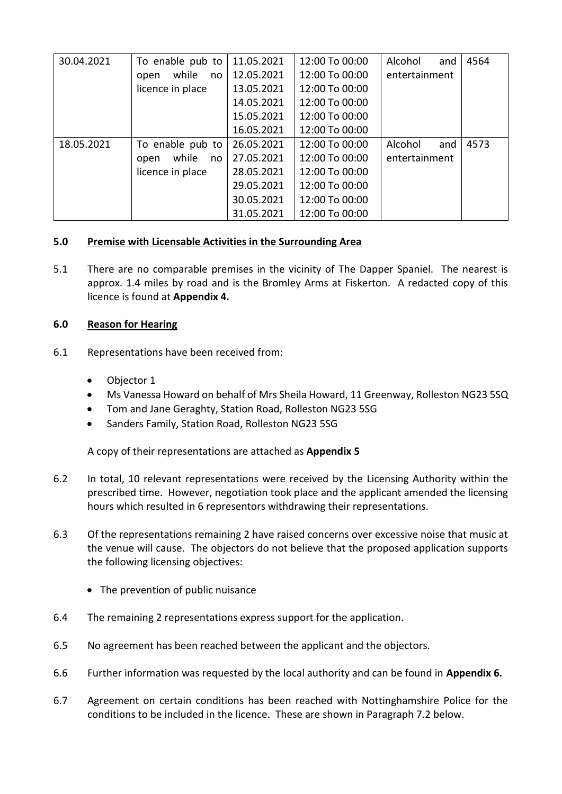| 30.04.2021 | To enable pub to    | 11.05.2021 | 12:00 To 00:00 | Alcohol<br>and | 4564 |
|------------|---------------------|------------|----------------|----------------|------|
|            | while<br>no<br>open | 12.05.2021 | 12:00 To 00:00 | entertainment  |      |
|            | licence in place    | 13.05.2021 | 12:00 To 00:00 |                |      |
|            |                     | 14.05.2021 | 12:00 To 00:00 |                |      |
|            |                     | 15.05.2021 | 12:00 To 00:00 |                |      |
|            |                     | 16.05.2021 | 12:00 To 00:00 |                |      |
| 18.05.2021 | To enable pub to    | 26.05.2021 | 12:00 To 00:00 | Alcohol<br>and | 4573 |
|            | while<br>open<br>no | 27.05.2021 | 12:00 To 00:00 | entertainment  |      |
|            | licence in place    | 28.05.2021 | 12:00 To 00:00 |                |      |
|            |                     | 29.05.2021 | 12:00 To 00:00 |                |      |
|            |                     | 30.05.2021 | 12:00 To 00:00 |                |      |
|            |                     | 31.05.2021 | 12:00 To 00:00 |                |      |

## **5.0 Premise with Licensable Activities in the Surrounding Area**

5.1 There are no comparable premises in the vicinity of The Dapper Spaniel. The nearest is approx. 1.4 miles by road and is the Bromley Arms at Fiskerton. A redacted copy of this licence is found at **Appendix 4.**

## **6.0 Reason for Hearing**

- 6.1 Representations have been received from:
	- Objector 1
	- Ms Vanessa Howard on behalf of Mrs Sheila Howard, 11 Greenway, Rolleston NG23 5SQ
	- Tom and Jane Geraghty, Station Road, Rolleston NG23 5SG
	- Sanders Family, Station Road, Rolleston NG23 5SG

A copy of their representations are attached as **Appendix 5**

- 6.2 In total, 10 relevant representations were received by the Licensing Authority within the prescribed time. However, negotiation took place and the applicant amended the licensing hours which resulted in 6 representors withdrawing their representations.
- 6.3 Of the representations remaining 2 have raised concerns over excessive noise that music at the venue will cause. The objectors do not believe that the proposed application supports the following licensing objectives:
	- The prevention of public nuisance
- 6.4 The remaining 2 representations express support for the application.
- 6.5 No agreement has been reached between the applicant and the objectors.
- 6.6 Further information was requested by the local authority and can be found in **Appendix 6.**
- 6.7 Agreement on certain conditions has been reached with Nottinghamshire Police for the conditions to be included in the licence. These are shown in Paragraph 7.2 below.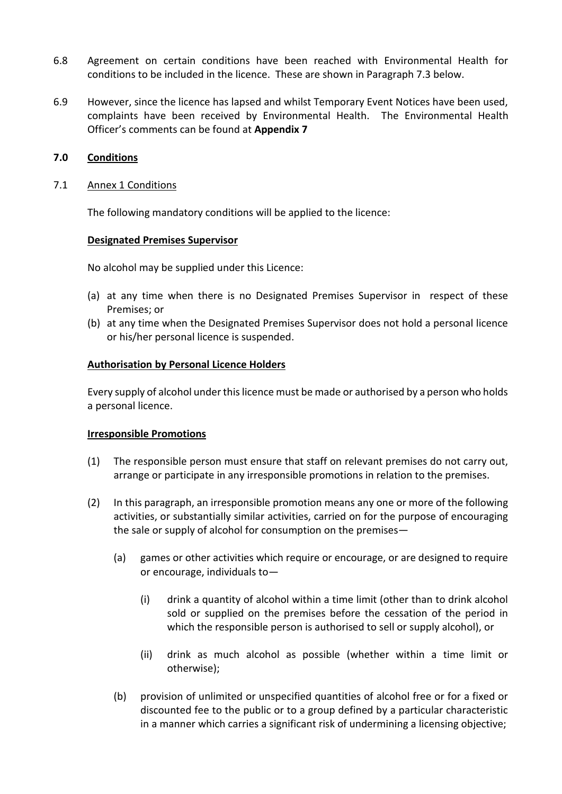- 6.8 Agreement on certain conditions have been reached with Environmental Health for conditions to be included in the licence. These are shown in Paragraph 7.3 below.
- 6.9 However, since the licence has lapsed and whilst Temporary Event Notices have been used, complaints have been received by Environmental Health. The Environmental Health Officer's comments can be found at **Appendix 7**

### **7.0 Conditions**

### 7.1 Annex 1 Conditions

The following mandatory conditions will be applied to the licence:

### **Designated Premises Supervisor**

No alcohol may be supplied under this Licence:

- (a) at any time when there is no Designated Premises Supervisor in respect of these Premises; or
- (b) at any time when the Designated Premises Supervisor does not hold a personal licence or his/her personal licence is suspended.

### **Authorisation by Personal Licence Holders**

Every supply of alcohol under this licence must be made or authorised by a person who holds a personal licence.

### **Irresponsible Promotions**

- (1) The responsible person must ensure that staff on relevant premises do not carry out, arrange or participate in any irresponsible promotions in relation to the premises.
- (2) In this paragraph, an irresponsible promotion means any one or more of the following activities, or substantially similar activities, carried on for the purpose of encouraging the sale or supply of alcohol for consumption on the premises—
	- (a) games or other activities which require or encourage, or are designed to require or encourage, individuals to—
		- (i) drink a quantity of alcohol within a time limit (other than to drink alcohol sold or supplied on the premises before the cessation of the period in which the responsible person is authorised to sell or supply alcohol), or
		- (ii) drink as much alcohol as possible (whether within a time limit or otherwise);
	- (b) provision of unlimited or unspecified quantities of alcohol free or for a fixed or discounted fee to the public or to a group defined by a particular characteristic in a manner which carries a significant risk of undermining a licensing objective;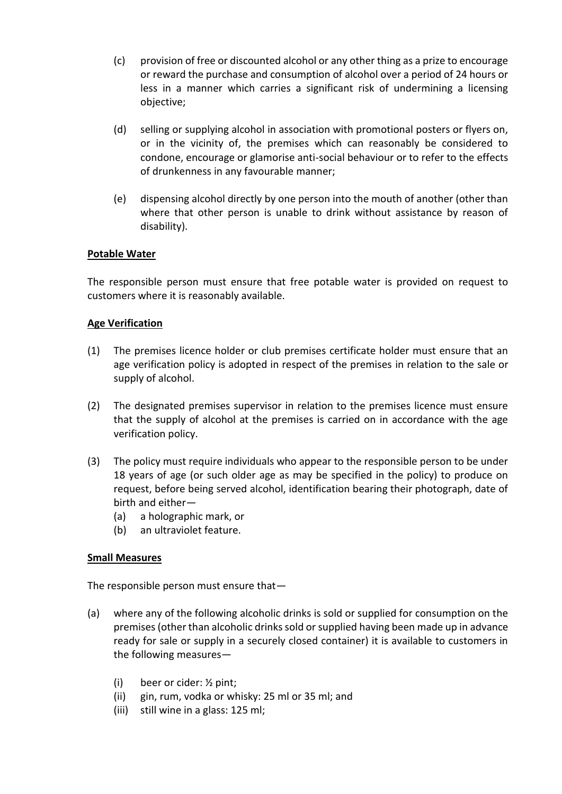- (c) provision of free or discounted alcohol or any other thing as a prize to encourage or reward the purchase and consumption of alcohol over a period of 24 hours or less in a manner which carries a significant risk of undermining a licensing objective;
- (d) selling or supplying alcohol in association with promotional posters or flyers on, or in the vicinity of, the premises which can reasonably be considered to condone, encourage or glamorise anti-social behaviour or to refer to the effects of drunkenness in any favourable manner;
- (e) dispensing alcohol directly by one person into the mouth of another (other than where that other person is unable to drink without assistance by reason of disability).

## **Potable Water**

The responsible person must ensure that free potable water is provided on request to customers where it is reasonably available.

## **Age Verification**

- (1) The premises licence holder or club premises certificate holder must ensure that an age verification policy is adopted in respect of the premises in relation to the sale or supply of alcohol.
- (2) The designated premises supervisor in relation to the premises licence must ensure that the supply of alcohol at the premises is carried on in accordance with the age verification policy.
- (3) The policy must require individuals who appear to the responsible person to be under 18 years of age (or such older age as may be specified in the policy) to produce on request, before being served alcohol, identification bearing their photograph, date of birth and either—
	- (a) a holographic mark, or
	- (b) an ultraviolet feature.

### **Small Measures**

The responsible person must ensure that—

- (a) where any of the following alcoholic drinks is sold or supplied for consumption on the premises (other than alcoholic drinks sold or supplied having been made up in advance ready for sale or supply in a securely closed container) it is available to customers in the following measures—
	- (i) beer or cider: ½ pint;
	- (ii) gin, rum, vodka or whisky: 25 ml or 35 ml; and
	- (iii) still wine in a glass: 125 ml;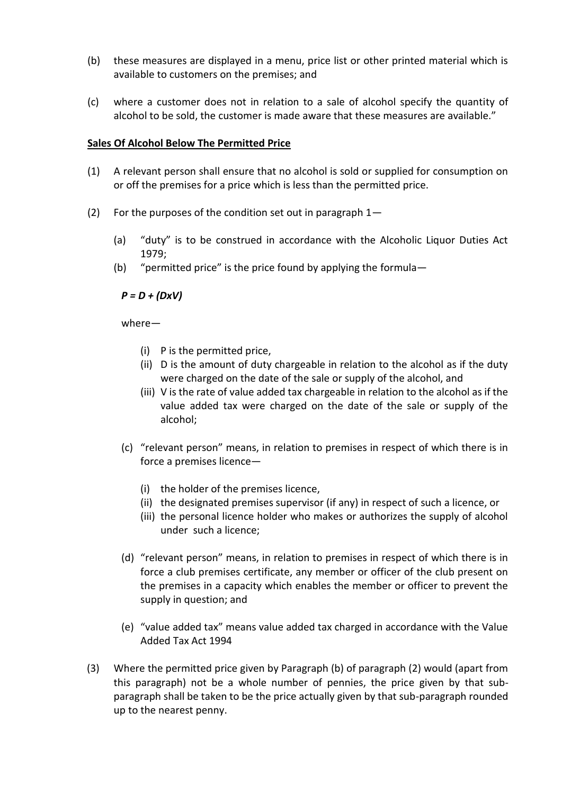- (b) these measures are displayed in a menu, price list or other printed material which is available to customers on the premises; and
- (c) where a customer does not in relation to a sale of alcohol specify the quantity of alcohol to be sold, the customer is made aware that these measures are available."

### **Sales Of Alcohol Below The Permitted Price**

- (1) A relevant person shall ensure that no alcohol is sold or supplied for consumption on or off the premises for a price which is less than the permitted price.
- (2) For the purposes of the condition set out in paragraph 1—
	- (a) "duty" is to be construed in accordance with the Alcoholic Liquor Duties Act 1979;
	- (b) "permitted price" is the price found by applying the formula—

### *P = D + (DxV)*

where—

- (i) P is the permitted price,
- (ii) D is the amount of duty chargeable in relation to the alcohol as if the duty were charged on the date of the sale or supply of the alcohol, and
- (iii) V is the rate of value added tax chargeable in relation to the alcohol as if the value added tax were charged on the date of the sale or supply of the alcohol;
- (c) "relevant person" means, in relation to premises in respect of which there is in force a premises licence—
	- (i) the holder of the premises licence,
	- (ii) the designated premises supervisor (if any) in respect of such a licence, or
	- (iii) the personal licence holder who makes or authorizes the supply of alcohol under such a licence;
- (d) "relevant person" means, in relation to premises in respect of which there is in force a club premises certificate, any member or officer of the club present on the premises in a capacity which enables the member or officer to prevent the supply in question; and
- (e) "value added tax" means value added tax charged in accordance with the Value Added Tax Act 1994
- (3) Where the permitted price given by Paragraph (b) of paragraph (2) would (apart from this paragraph) not be a whole number of pennies, the price given by that subparagraph shall be taken to be the price actually given by that sub-paragraph rounded up to the nearest penny.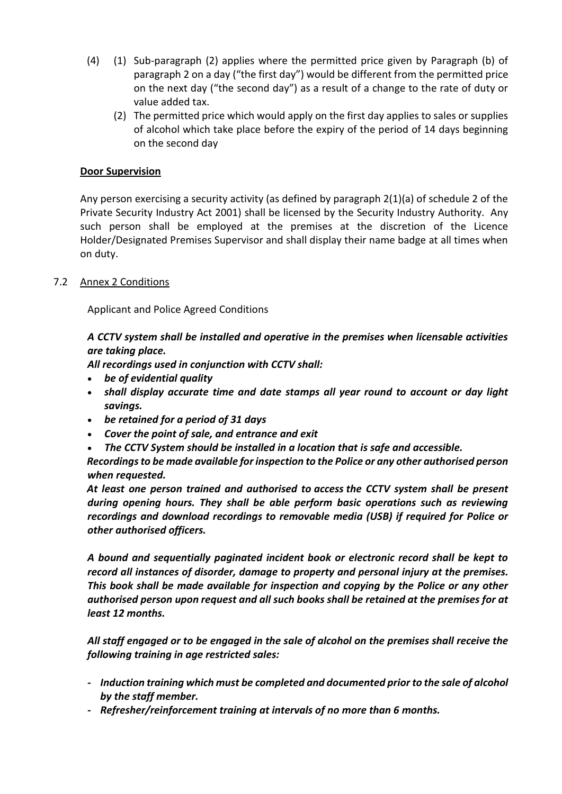- (4) (1) Sub-paragraph (2) applies where the permitted price given by Paragraph (b) of paragraph 2 on a day ("the first day") would be different from the permitted price on the next day ("the second day") as a result of a change to the rate of duty or value added tax.
	- (2) The permitted price which would apply on the first day applies to sales or supplies of alcohol which take place before the expiry of the period of 14 days beginning on the second day

## **Door Supervision**

Any person exercising a security activity (as defined by paragraph 2(1)(a) of schedule 2 of the Private Security Industry Act 2001) shall be licensed by the Security Industry Authority. Any such person shall be employed at the premises at the discretion of the Licence Holder/Designated Premises Supervisor and shall display their name badge at all times when on duty.

## 7.2 Annex 2 Conditions

Applicant and Police Agreed Conditions

*A CCTV system shall be installed and operative in the premises when licensable activities are taking place.*

*All recordings used in conjunction with CCTV shall:*

- *be of evidential quality*
- *shall display accurate time and date stamps all year round to account or day light savings.*
- *be retained for a period of 31 days*
- *Cover the point of sale, and entrance and exit*
- *The CCTV System should be installed in a location that is safe and accessible.*

*Recordings to be made available for inspection to the Police or any other authorised person when requested.*

*At least one person trained and authorised to access the CCTV system shall be present during opening hours. They shall be able perform basic operations such as reviewing recordings and download recordings to removable media (USB) if required for Police or other authorised officers.*

*A bound and sequentially paginated incident book or electronic record shall be kept to record all instances of disorder, damage to property and personal injury at the premises. This book shall be made available for inspection and copying by the Police or any other authorised person upon request and all such books shall be retained at the premises for at least 12 months.*

*All staff engaged or to be engaged in the sale of alcohol on the premises shall receive the following training in age restricted sales:*

- *- Induction training which must be completed and documented prior to the sale of alcohol by the staff member.*
- *- Refresher/reinforcement training at intervals of no more than 6 months.*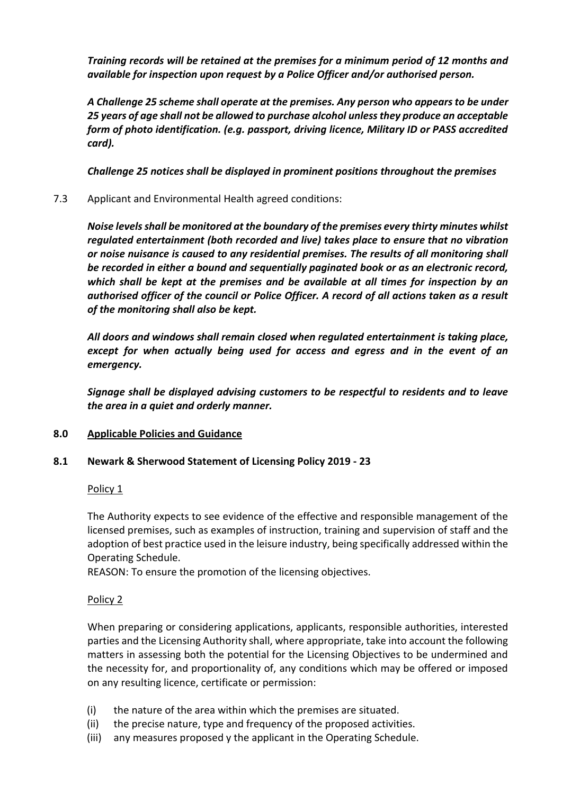*Training records will be retained at the premises for a minimum period of 12 months and available for inspection upon request by a Police Officer and/or authorised person.*

*A Challenge 25 scheme shall operate at the premises. Any person who appears to be under 25 years of age shall not be allowed to purchase alcohol unless they produce an acceptable form of photo identification. (e.g. passport, driving licence, Military ID or PASS accredited card).*

*Challenge 25 notices shall be displayed in prominent positions throughout the premises*

7.3 Applicant and Environmental Health agreed conditions:

*Noise levels shall be monitored at the boundary of the premises every thirty minutes whilst regulated entertainment (both recorded and live) takes place to ensure that no vibration or noise nuisance is caused to any residential premises. The results of all monitoring shall be recorded in either a bound and sequentially paginated book or as an electronic record, which shall be kept at the premises and be available at all times for inspection by an authorised officer of the council or Police Officer. A record of all actions taken as a result of the monitoring shall also be kept.* 

*All doors and windows shall remain closed when regulated entertainment is taking place, except for when actually being used for access and egress and in the event of an emergency.*

*Signage shall be displayed advising customers to be respectful to residents and to leave the area in a quiet and orderly manner.*

# **8.0 Applicable Policies and Guidance**

### **8.1 Newark & Sherwood Statement of Licensing Policy 2019 - 23**

### Policy 1

The Authority expects to see evidence of the effective and responsible management of the licensed premises, such as examples of instruction, training and supervision of staff and the adoption of best practice used in the leisure industry, being specifically addressed within the Operating Schedule.

REASON: To ensure the promotion of the licensing objectives.

### Policy 2

When preparing or considering applications, applicants, responsible authorities, interested parties and the Licensing Authority shall, where appropriate, take into account the following matters in assessing both the potential for the Licensing Objectives to be undermined and the necessity for, and proportionality of, any conditions which may be offered or imposed on any resulting licence, certificate or permission:

- (i) the nature of the area within which the premises are situated.
- (ii) the precise nature, type and frequency of the proposed activities.
- (iii) any measures proposed y the applicant in the Operating Schedule.